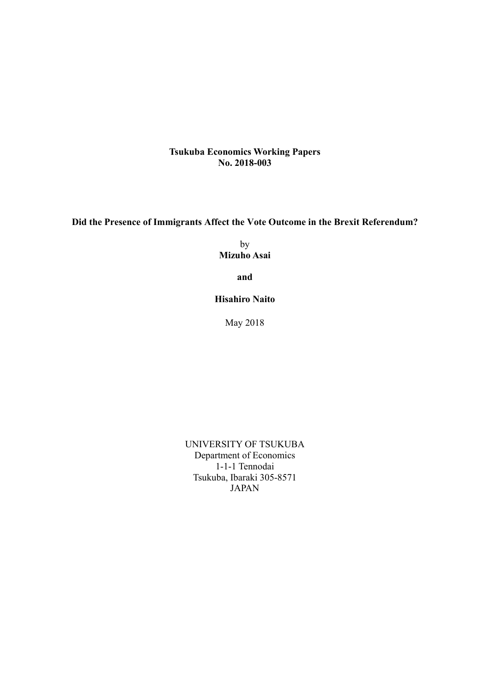**Tsukuba Economics Working Papers No. 2018-003**

**Did the Presence of Immigrants Affect the Vote Outcome in the Brexit Referendum?** 

by **Mizuho Asai** 

**and**

**Hisahiro Naito** 

May 2018

UNIVERSITY OF TSUKUBA Department of Economics 1-1-1 Tennodai Tsukuba, Ibaraki 305-8571 JAPAN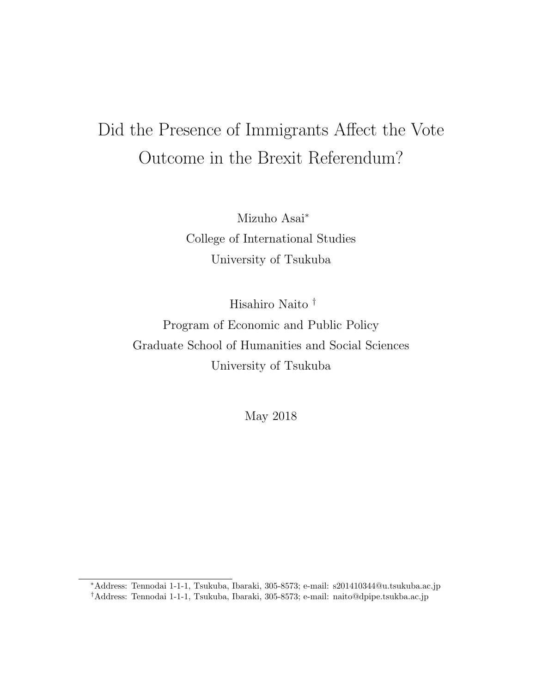# Did the Presence of Immigrants Affect the Vote Outcome in the Brexit Referendum?

Mizuho Asai<sup>∗</sup> College of International Studies University of Tsukuba

Hisahiro Naito † Program of Economic and Public Policy Graduate School of Humanities and Social Sciences University of Tsukuba

May 2018

<sup>∗</sup>Address: Tennodai 1-1-1, Tsukuba, Ibaraki, 305-8573; e-mail: s201410344@u.tsukuba.ac.jp †Address: Tennodai 1-1-1, Tsukuba, Ibaraki, 305-8573; e-mail: naito@dpipe.tsukba.ac.jp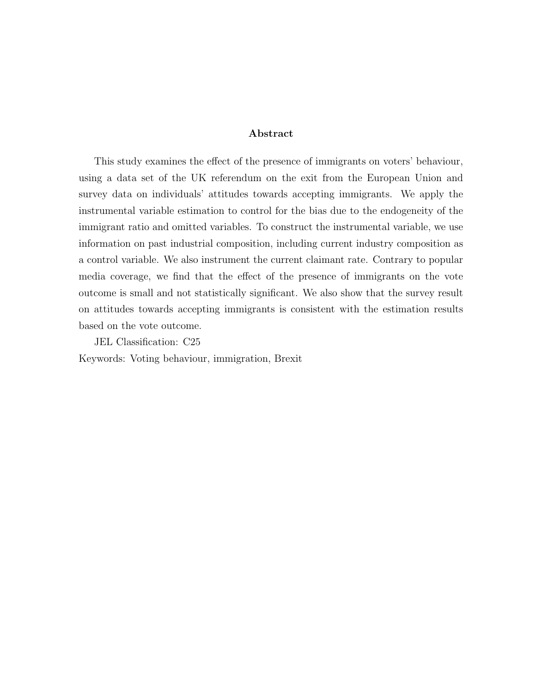#### Abstract

This study examines the effect of the presence of immigrants on voters' behaviour, using a data set of the UK referendum on the exit from the European Union and survey data on individuals' attitudes towards accepting immigrants. We apply the instrumental variable estimation to control for the bias due to the endogeneity of the immigrant ratio and omitted variables. To construct the instrumental variable, we use information on past industrial composition, including current industry composition as a control variable. We also instrument the current claimant rate. Contrary to popular media coverage, we find that the effect of the presence of immigrants on the vote outcome is small and not statistically significant. We also show that the survey result on attitudes towards accepting immigrants is consistent with the estimation results based on the vote outcome.

JEL Classification: C25 Keywords: Voting behaviour, immigration, Brexit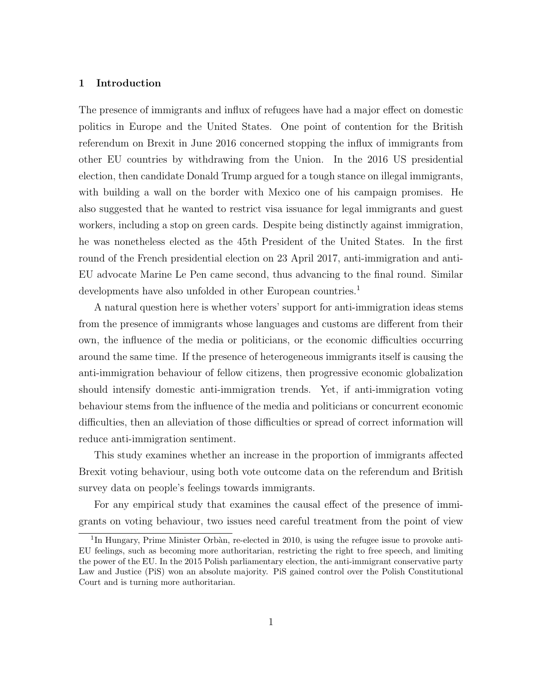#### 1 Introduction

The presence of immigrants and influx of refugees have had a major effect on domestic politics in Europe and the United States. One point of contention for the British referendum on Brexit in June 2016 concerned stopping the influx of immigrants from other EU countries by withdrawing from the Union. In the 2016 US presidential election, then candidate Donald Trump argued for a tough stance on illegal immigrants, with building a wall on the border with Mexico one of his campaign promises. He also suggested that he wanted to restrict visa issuance for legal immigrants and guest workers, including a stop on green cards. Despite being distinctly against immigration, he was nonetheless elected as the 45th President of the United States. In the first round of the French presidential election on 23 April 2017, anti-immigration and anti-EU advocate Marine Le Pen came second, thus advancing to the final round. Similar developments have also unfolded in other European countries.<sup>1</sup>

A natural question here is whether voters' support for anti-immigration ideas stems from the presence of immigrants whose languages and customs are different from their own, the influence of the media or politicians, or the economic difficulties occurring around the same time. If the presence of heterogeneous immigrants itself is causing the anti-immigration behaviour of fellow citizens, then progressive economic globalization should intensify domestic anti-immigration trends. Yet, if anti-immigration voting behaviour stems from the influence of the media and politicians or concurrent economic difficulties, then an alleviation of those difficulties or spread of correct information will reduce anti-immigration sentiment.

This study examines whether an increase in the proportion of immigrants affected Brexit voting behaviour, using both vote outcome data on the referendum and British survey data on people's feelings towards immigrants.

For any empirical study that examines the causal effect of the presence of immigrants on voting behaviour, two issues need careful treatment from the point of view

<sup>&</sup>lt;sup>1</sup>In Hungary, Prime Minister Orbàn, re-elected in 2010, is using the refugee issue to provoke anti-EU feelings, such as becoming more authoritarian, restricting the right to free speech, and limiting the power of the EU. In the 2015 Polish parliamentary election, the anti-immigrant conservative party Law and Justice (PiS) won an absolute majority. PiS gained control over the Polish Constitutional Court and is turning more authoritarian.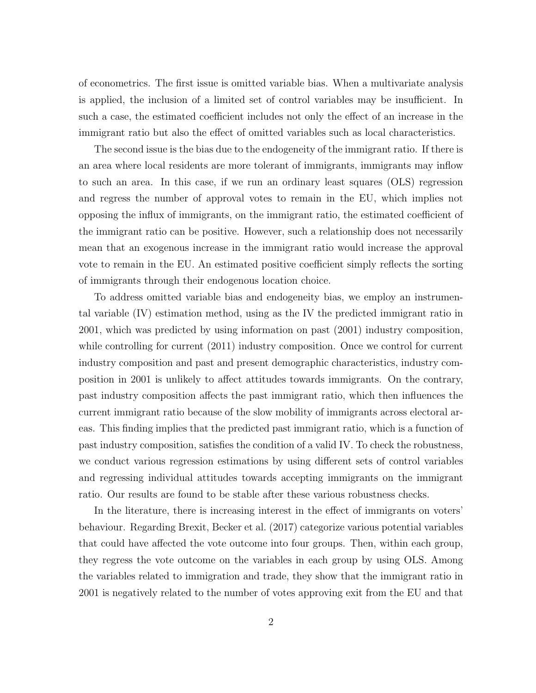of econometrics. The first issue is omitted variable bias. When a multivariate analysis is applied, the inclusion of a limited set of control variables may be insufficient. In such a case, the estimated coefficient includes not only the effect of an increase in the immigrant ratio but also the effect of omitted variables such as local characteristics.

The second issue is the bias due to the endogeneity of the immigrant ratio. If there is an area where local residents are more tolerant of immigrants, immigrants may inflow to such an area. In this case, if we run an ordinary least squares (OLS) regression and regress the number of approval votes to remain in the EU, which implies not opposing the influx of immigrants, on the immigrant ratio, the estimated coefficient of the immigrant ratio can be positive. However, such a relationship does not necessarily mean that an exogenous increase in the immigrant ratio would increase the approval vote to remain in the EU. An estimated positive coefficient simply reflects the sorting of immigrants through their endogenous location choice.

To address omitted variable bias and endogeneity bias, we employ an instrumental variable (IV) estimation method, using as the IV the predicted immigrant ratio in 2001, which was predicted by using information on past (2001) industry composition, while controlling for current  $(2011)$  industry composition. Once we control for current industry composition and past and present demographic characteristics, industry composition in 2001 is unlikely to affect attitudes towards immigrants. On the contrary, past industry composition affects the past immigrant ratio, which then influences the current immigrant ratio because of the slow mobility of immigrants across electoral areas. This finding implies that the predicted past immigrant ratio, which is a function of past industry composition, satisfies the condition of a valid IV. To check the robustness, we conduct various regression estimations by using different sets of control variables and regressing individual attitudes towards accepting immigrants on the immigrant ratio. Our results are found to be stable after these various robustness checks.

In the literature, there is increasing interest in the effect of immigrants on voters' behaviour. Regarding Brexit, Becker et al. (2017) categorize various potential variables that could have affected the vote outcome into four groups. Then, within each group, they regress the vote outcome on the variables in each group by using OLS. Among the variables related to immigration and trade, they show that the immigrant ratio in 2001 is negatively related to the number of votes approving exit from the EU and that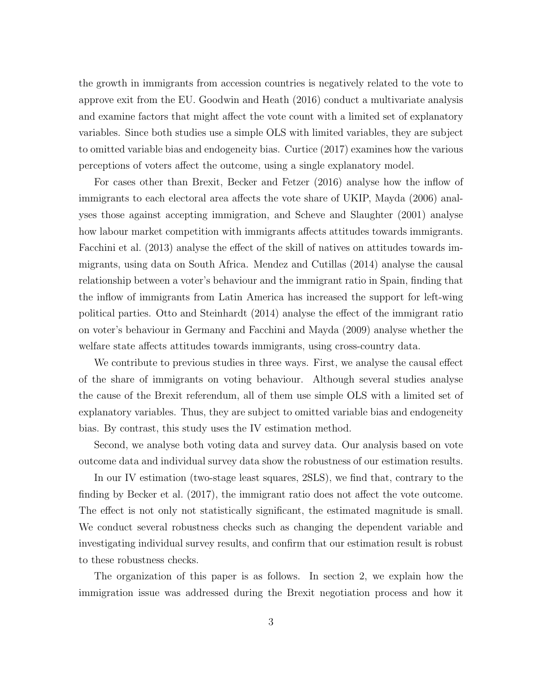the growth in immigrants from accession countries is negatively related to the vote to approve exit from the EU. Goodwin and Heath (2016) conduct a multivariate analysis and examine factors that might affect the vote count with a limited set of explanatory variables. Since both studies use a simple OLS with limited variables, they are subject to omitted variable bias and endogeneity bias. Curtice (2017) examines how the various perceptions of voters affect the outcome, using a single explanatory model.

For cases other than Brexit, Becker and Fetzer (2016) analyse how the inflow of immigrants to each electoral area affects the vote share of UKIP, Mayda (2006) analyses those against accepting immigration, and Scheve and Slaughter (2001) analyse how labour market competition with immigrants affects attitudes towards immigrants. Facchini et al. (2013) analyse the effect of the skill of natives on attitudes towards immigrants, using data on South Africa. Mendez and Cutillas (2014) analyse the causal relationship between a voter's behaviour and the immigrant ratio in Spain, finding that the inflow of immigrants from Latin America has increased the support for left-wing political parties. Otto and Steinhardt (2014) analyse the effect of the immigrant ratio on voter's behaviour in Germany and Facchini and Mayda (2009) analyse whether the welfare state affects attitudes towards immigrants, using cross-country data.

We contribute to previous studies in three ways. First, we analyse the causal effect of the share of immigrants on voting behaviour. Although several studies analyse the cause of the Brexit referendum, all of them use simple OLS with a limited set of explanatory variables. Thus, they are subject to omitted variable bias and endogeneity bias. By contrast, this study uses the IV estimation method.

Second, we analyse both voting data and survey data. Our analysis based on vote outcome data and individual survey data show the robustness of our estimation results.

In our IV estimation (two-stage least squares, 2SLS), we find that, contrary to the finding by Becker et al. (2017), the immigrant ratio does not affect the vote outcome. The effect is not only not statistically significant, the estimated magnitude is small. We conduct several robustness checks such as changing the dependent variable and investigating individual survey results, and confirm that our estimation result is robust to these robustness checks.

The organization of this paper is as follows. In section 2, we explain how the immigration issue was addressed during the Brexit negotiation process and how it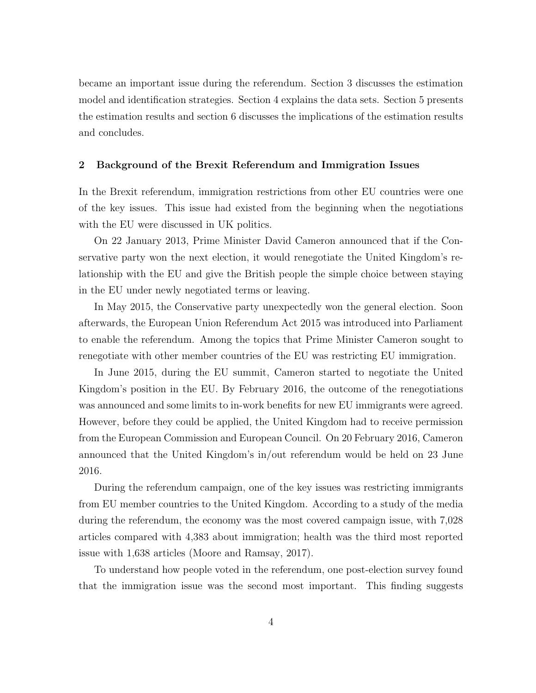became an important issue during the referendum. Section 3 discusses the estimation model and identification strategies. Section 4 explains the data sets. Section 5 presents the estimation results and section 6 discusses the implications of the estimation results and concludes.

## 2 Background of the Brexit Referendum and Immigration Issues

In the Brexit referendum, immigration restrictions from other EU countries were one of the key issues. This issue had existed from the beginning when the negotiations with the EU were discussed in UK politics.

On 22 January 2013, Prime Minister David Cameron announced that if the Conservative party won the next election, it would renegotiate the United Kingdom's relationship with the EU and give the British people the simple choice between staying in the EU under newly negotiated terms or leaving.

In May 2015, the Conservative party unexpectedly won the general election. Soon afterwards, the European Union Referendum Act 2015 was introduced into Parliament to enable the referendum. Among the topics that Prime Minister Cameron sought to renegotiate with other member countries of the EU was restricting EU immigration.

In June 2015, during the EU summit, Cameron started to negotiate the United Kingdom's position in the EU. By February 2016, the outcome of the renegotiations was announced and some limits to in-work benefits for new EU immigrants were agreed. However, before they could be applied, the United Kingdom had to receive permission from the European Commission and European Council. On 20 February 2016, Cameron announced that the United Kingdom's in/out referendum would be held on 23 June 2016.

During the referendum campaign, one of the key issues was restricting immigrants from EU member countries to the United Kingdom. According to a study of the media during the referendum, the economy was the most covered campaign issue, with 7,028 articles compared with 4,383 about immigration; health was the third most reported issue with 1,638 articles (Moore and Ramsay, 2017).

To understand how people voted in the referendum, one post-election survey found that the immigration issue was the second most important. This finding suggests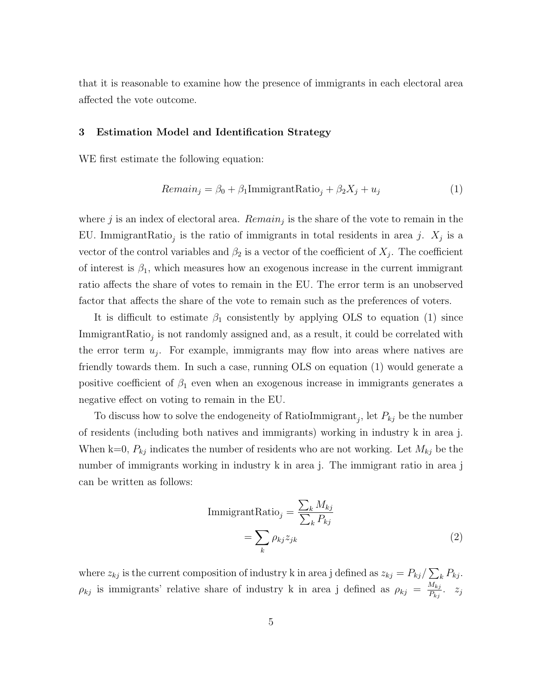that it is reasonable to examine how the presence of immigrants in each electoral area affected the vote outcome.

## 3 Estimation Model and Identification Strategy

WE first estimate the following equation:

$$
Remain_j = \beta_0 + \beta_1 \text{ImmigrantRatio}_j + \beta_2 X_j + u_j \tag{1}
$$

where  $j$  is an index of electoral area.  $Remain_j$  is the share of the vote to remain in the EU. Immigrant $\text{Ratio}_j$  is the ratio of immigrants in total residents in area j.  $X_j$  is a vector of the control variables and  $\beta_2$  is a vector of the coefficient of  $X_j$ . The coefficient of interest is  $\beta_1$ , which measures how an exogenous increase in the current immigrant ratio affects the share of votes to remain in the EU. The error term is an unobserved factor that affects the share of the vote to remain such as the preferences of voters.

It is difficult to estimate  $\beta_1$  consistently by applying OLS to equation (1) since  $\text{ImmigrantRatio}_j$  is not randomly assigned and, as a result, it could be correlated with the error term  $u_j$ . For example, immigrants may flow into areas where natives are friendly towards them. In such a case, running OLS on equation (1) would generate a positive coefficient of  $\beta_1$  even when an exogenous increase in immigrants generates a negative effect on voting to remain in the EU.

To discuss how to solve the endogeneity of RatioImmigrant<sub>j</sub>, let  $P_{kj}$  be the number of residents (including both natives and immigrants) working in industry k in area j. When k=0,  $P_{kj}$  indicates the number of residents who are not working. Let  $M_{kj}$  be the number of immigrants working in industry k in area j. The immigrant ratio in area j can be written as follows:

$$
\text{ImmigrantRatio}_{j} = \frac{\sum_{k} M_{kj}}{\sum_{k} P_{kj}}
$$
\n
$$
= \sum_{k} \rho_{kj} z_{jk} \tag{2}
$$

where  $z_{kj}$  is the current composition of industry k in area j defined as  $z_{kj} = P_{kj} / \sum_k P_{kj}$ .  $\rho_{kj}$  is immigrants' relative share of industry k in area j defined as  $\rho_{kj} = \frac{M_{kj}}{P_{ki}}$  $\frac{w_{kj}}{P_{kj}}$ .  $z_j$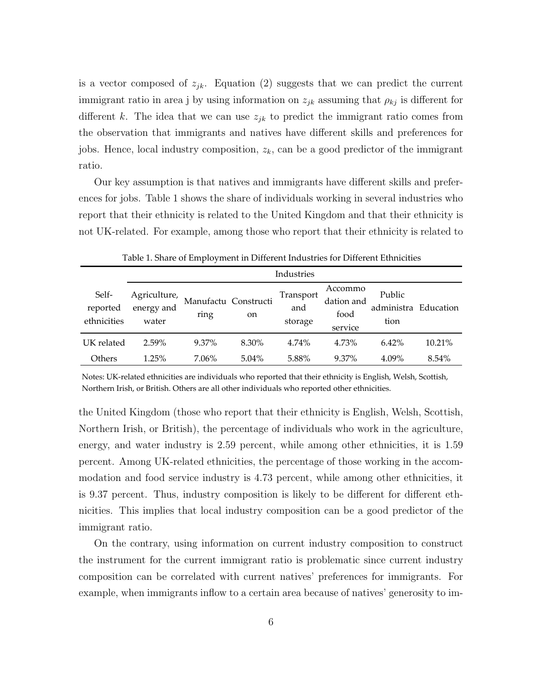is a vector composed of  $z_{jk}$ . Equation (2) suggests that we can predict the current immigrant ratio in area j by using information on  $z_{jk}$  assuming that  $\rho_{kj}$  is different for different k. The idea that we can use  $z_{jk}$  to predict the immigrant ratio comes from the observation that immigrants and natives have different skills and preferences for jobs. Hence, local industry composition,  $z_k$ , can be a good predictor of the immigrant ratio.

Our key assumption is that natives and immigrants have different skills and preferences for jobs. Table 1 shows the share of individuals working in several industries who report that their ethnicity is related to the United Kingdom and that their ethnicity is not UK-related. For example, among those who report that their ethnicity is related to

|                                  | Industries                          |                              |          |                             |                                          |                                        |        |  |
|----------------------------------|-------------------------------------|------------------------------|----------|-----------------------------|------------------------------------------|----------------------------------------|--------|--|
| Self-<br>reported<br>ethnicities | Agriculture,<br>energy and<br>water | Manufactu Constructi<br>ring | on       | Transport<br>and<br>storage | Accommo<br>dation and<br>food<br>service | Public<br>administra Education<br>tion |        |  |
| UK related                       | 2.59%                               | 9.37%                        | 8.30%    | 4.74%                       | 4.73%                                    | 6.42%                                  | 10.21% |  |
| Others                           | 1.25%                               | 7.06%                        | $5.04\%$ | 5.88%                       | 9.37%                                    | 4.09%                                  | 8.54%  |  |

Table 1. Share of Employment in Different Industries for Different Ethnicities

Notes: UK‐related ethnicities are individuals who reported that their ethnicity is English, Welsh, Scottish, Northern Irish, or British. Others are all other individuals who reported other ethnicities.

the United Kingdom (those who report that their ethnicity is English, Welsh, Scottish, Northern Irish, or British), the percentage of individuals who work in the agriculture, energy, and water industry is 2.59 percent, while among other ethnicities, it is 1.59 percent. Among UK-related ethnicities, the percentage of those working in the accommodation and food service industry is 4.73 percent, while among other ethnicities, it is 9.37 percent. Thus, industry composition is likely to be different for different ethnicities. This implies that local industry composition can be a good predictor of the immigrant ratio.

On the contrary, using information on current industry composition to construct the instrument for the current immigrant ratio is problematic since current industry composition can be correlated with current natives' preferences for immigrants. For example, when immigrants inflow to a certain area because of natives' generosity to im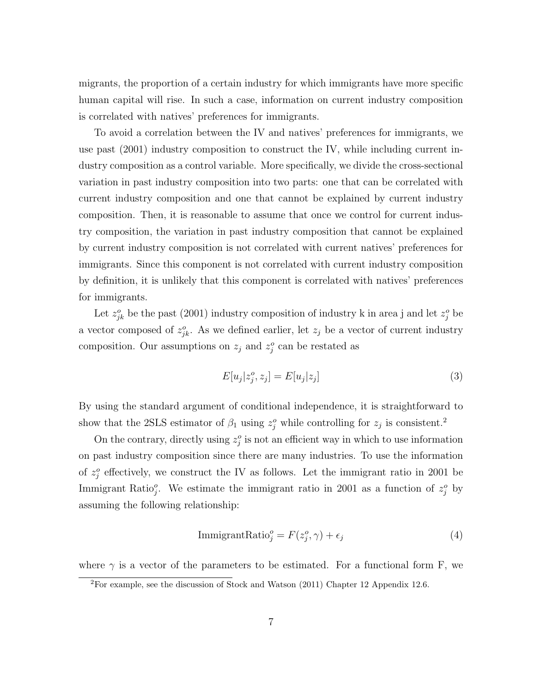migrants, the proportion of a certain industry for which immigrants have more specific human capital will rise. In such a case, information on current industry composition is correlated with natives' preferences for immigrants.

To avoid a correlation between the IV and natives' preferences for immigrants, we use past (2001) industry composition to construct the IV, while including current industry composition as a control variable. More specifically, we divide the cross-sectional variation in past industry composition into two parts: one that can be correlated with current industry composition and one that cannot be explained by current industry composition. Then, it is reasonable to assume that once we control for current industry composition, the variation in past industry composition that cannot be explained by current industry composition is not correlated with current natives' preferences for immigrants. Since this component is not correlated with current industry composition by definition, it is unlikely that this component is correlated with natives' preferences for immigrants.

Let  $z_{jk}^o$  be the past (2001) industry composition of industry k in area j and let  $z_j^o$  be a vector composed of  $z_{jk}^o$ . As we defined earlier, let  $z_j$  be a vector of current industry composition. Our assumptions on  $z_j$  and  $z_j^o$  can be restated as

$$
E[u_j|z_j^o, z_j] = E[u_j|z_j]
$$
\n
$$
(3)
$$

By using the standard argument of conditional independence, it is straightforward to show that the 2SLS estimator of  $\beta_1$  using  $z_j^o$  while controlling for  $z_j$  is consistent.<sup>2</sup>

On the contrary, directly using  $z_j^o$  is not an efficient way in which to use information on past industry composition since there are many industries. To use the information of  $z_j^o$  effectively, we construct the IV as follows. Let the immigrant ratio in 2001 be Immigrant Ratio<sup>2</sup>, We estimate the immigrant ratio in 2001 as a function of  $z_j^o$  by assuming the following relationship:

$$
\text{ImmigrantRatio}_{j}^{o} = F(z_j^{o}, \gamma) + \epsilon_j \tag{4}
$$

where  $\gamma$  is a vector of the parameters to be estimated. For a functional form F, we

<sup>2</sup>For example, see the discussion of Stock and Watson (2011) Chapter 12 Appendix 12.6.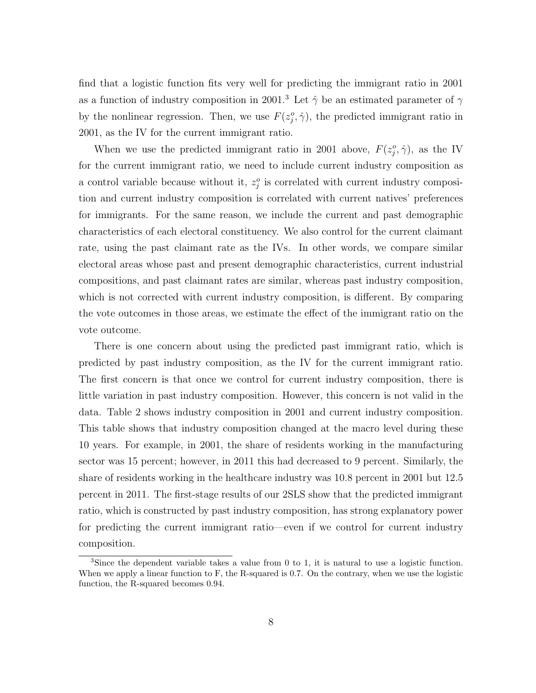find that a logistic function fits very well for predicting the immigrant ratio in 2001 as a function of industry composition in 2001.<sup>3</sup> Let  $\hat{\gamma}$  be an estimated parameter of  $\gamma$ by the nonlinear regression. Then, we use  $F(z_j^o, \hat{\gamma})$ , the predicted immigrant ratio in 2001, as the IV for the current immigrant ratio.

When we use the predicted immigrant ratio in 2001 above,  $F(z_j^o, \hat{\gamma})$ , as the IV for the current immigrant ratio, we need to include current industry composition as a control variable because without it,  $z_j^o$  is correlated with current industry composition and current industry composition is correlated with current natives' preferences for immigrants. For the same reason, we include the current and past demographic characteristics of each electoral constituency. We also control for the current claimant rate, using the past claimant rate as the IVs. In other words, we compare similar electoral areas whose past and present demographic characteristics, current industrial compositions, and past claimant rates are similar, whereas past industry composition, which is not corrected with current industry composition, is different. By comparing the vote outcomes in those areas, we estimate the effect of the immigrant ratio on the vote outcome.

There is one concern about using the predicted past immigrant ratio, which is predicted by past industry composition, as the IV for the current immigrant ratio. The first concern is that once we control for current industry composition, there is little variation in past industry composition. However, this concern is not valid in the data. Table 2 shows industry composition in 2001 and current industry composition. This table shows that industry composition changed at the macro level during these 10 years. For example, in 2001, the share of residents working in the manufacturing sector was 15 percent; however, in 2011 this had decreased to 9 percent. Similarly, the share of residents working in the healthcare industry was 10.8 percent in 2001 but 12.5 percent in 2011. The first-stage results of our 2SLS show that the predicted immigrant ratio, which is constructed by past industry composition, has strong explanatory power for predicting the current immigrant ratio—even if we control for current industry composition.

<sup>&</sup>lt;sup>3</sup>Since the dependent variable takes a value from 0 to 1, it is natural to use a logistic function. When we apply a linear function to F, the R-squared is 0.7. On the contrary, when we use the logistic function, the R-squared becomes 0.94.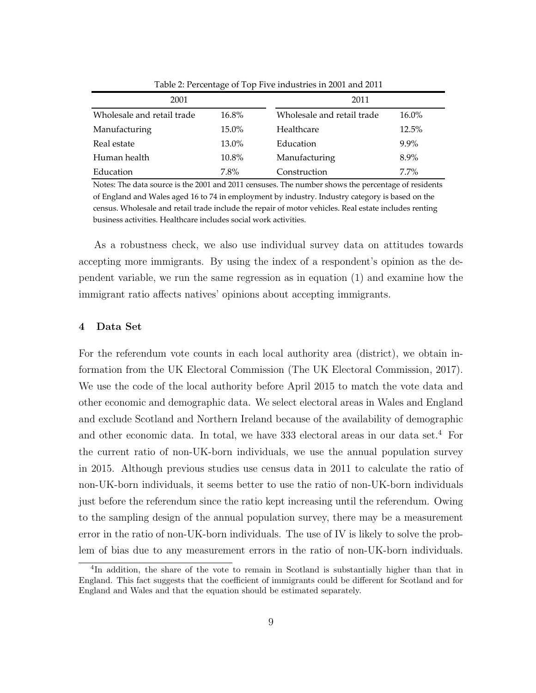| 2001                       |          | 2011                       |          |  |  |  |
|----------------------------|----------|----------------------------|----------|--|--|--|
| Wholesale and retail trade | $16.8\%$ | Wholesale and retail trade | $16.0\%$ |  |  |  |
| Manufacturing              | 15.0%    | Healthcare                 | 12.5%    |  |  |  |
| Real estate                | 13.0%    | Education                  | $9.9\%$  |  |  |  |
| Human health               | 10.8%    | Manufacturing              | 8.9%     |  |  |  |
| Education                  | 7.8%     | Construction               | $7.7\%$  |  |  |  |

Table 2: Percentage of Top Five industries in 2001 and 2011

Notes: The data source is the 2001 and 2011 censuses. The number shows the percentage of residents of England and Wales aged 16 to 74 in employment by industry. Industry category is based on the census. Wholesale and retail trade include the repair of motor vehicles. Real estate includes renting business activities. Healthcare includes social work activities.

As a robustness check, we also use individual survey data on attitudes towards accepting more immigrants. By using the index of a respondent's opinion as the dependent variable, we run the same regression as in equation (1) and examine how the immigrant ratio affects natives' opinions about accepting immigrants.

# 4 Data Set

For the referendum vote counts in each local authority area (district), we obtain information from the UK Electoral Commission (The UK Electoral Commission, 2017). We use the code of the local authority before April 2015 to match the vote data and other economic and demographic data. We select electoral areas in Wales and England and exclude Scotland and Northern Ireland because of the availability of demographic and other economic data. In total, we have  $333$  electoral areas in our data set.<sup>4</sup> For the current ratio of non-UK-born individuals, we use the annual population survey in 2015. Although previous studies use census data in 2011 to calculate the ratio of non-UK-born individuals, it seems better to use the ratio of non-UK-born individuals just before the referendum since the ratio kept increasing until the referendum. Owing to the sampling design of the annual population survey, there may be a measurement error in the ratio of non-UK-born individuals. The use of IV is likely to solve the problem of bias due to any measurement errors in the ratio of non-UK-born individuals.

<sup>&</sup>lt;sup>4</sup>In addition, the share of the vote to remain in Scotland is substantially higher than that in England. This fact suggests that the coefficient of immigrants could be different for Scotland and for England and Wales and that the equation should be estimated separately.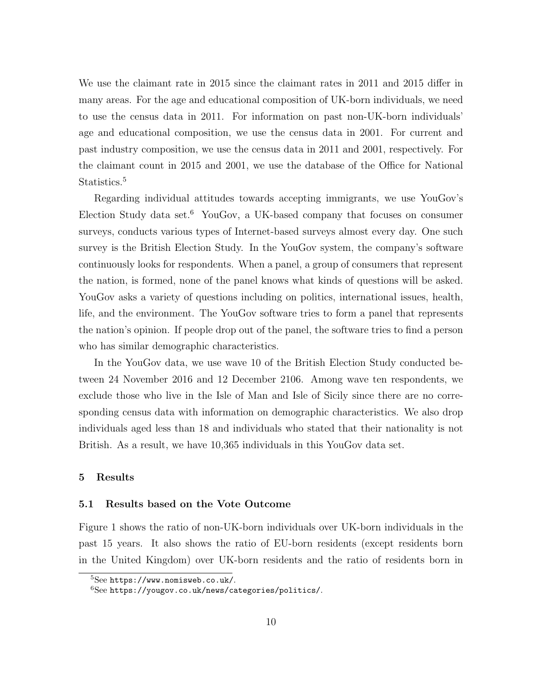We use the claimant rate in 2015 since the claimant rates in 2011 and 2015 differ in many areas. For the age and educational composition of UK-born individuals, we need to use the census data in 2011. For information on past non-UK-born individuals' age and educational composition, we use the census data in 2001. For current and past industry composition, we use the census data in 2011 and 2001, respectively. For the claimant count in 2015 and 2001, we use the database of the Office for National Statistics.<sup>5</sup>

Regarding individual attitudes towards accepting immigrants, we use YouGov's Election Study data set.<sup>6</sup> YouGov, a UK-based company that focuses on consumer surveys, conducts various types of Internet-based surveys almost every day. One such survey is the British Election Study. In the YouGov system, the company's software continuously looks for respondents. When a panel, a group of consumers that represent the nation, is formed, none of the panel knows what kinds of questions will be asked. YouGov asks a variety of questions including on politics, international issues, health, life, and the environment. The YouGov software tries to form a panel that represents the nation's opinion. If people drop out of the panel, the software tries to find a person who has similar demographic characteristics.

In the YouGov data, we use wave 10 of the British Election Study conducted between 24 November 2016 and 12 December 2106. Among wave ten respondents, we exclude those who live in the Isle of Man and Isle of Sicily since there are no corresponding census data with information on demographic characteristics. We also drop individuals aged less than 18 and individuals who stated that their nationality is not British. As a result, we have 10,365 individuals in this YouGov data set.

# 5 Results

#### 5.1 Results based on the Vote Outcome

Figure 1 shows the ratio of non-UK-born individuals over UK-born individuals in the past 15 years. It also shows the ratio of EU-born residents (except residents born in the United Kingdom) over UK-born residents and the ratio of residents born in

 $5$ See https://www.nomisweb.co.uk/.

<sup>6</sup>See https://yougov.co.uk/news/categories/politics/.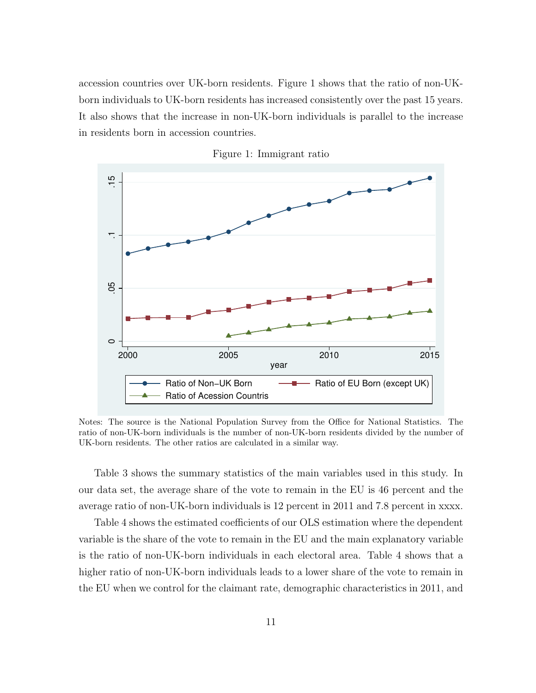accession countries over UK-born residents. Figure 1 shows that the ratio of non-UKborn individuals to UK-born residents has increased consistently over the past 15 years. It also shows that the increase in non-UK-born individuals is parallel to the increase in residents born in accession countries.



Figure 1: Immigrant ratio

Notes: The source is the National Population Survey from the Office for National Statistics. The ratio of non-UK-born individuals is the number of non-UK-born residents divided by the number of UK-born residents. The other ratios are calculated in a similar way.

Table 3 shows the summary statistics of the main variables used in this study. In our data set, the average share of the vote to remain in the EU is 46 percent and the average ratio of non-UK-born individuals is 12 percent in 2011 and 7.8 percent in xxxx.

Table 4 shows the estimated coefficients of our OLS estimation where the dependent variable is the share of the vote to remain in the EU and the main explanatory variable is the ratio of non-UK-born individuals in each electoral area. Table 4 shows that a higher ratio of non-UK-born individuals leads to a lower share of the vote to remain in the EU when we control for the claimant rate, demographic characteristics in 2011, and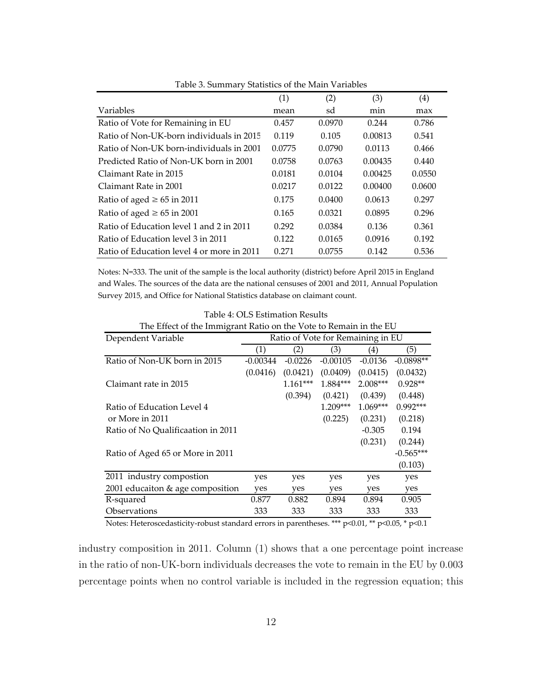|                                            | (1)    | (2)    | (3)     | (4)    |
|--------------------------------------------|--------|--------|---------|--------|
| Variables                                  | mean   | sd     | min     | max    |
| Ratio of Vote for Remaining in EU          | 0.457  | 0.0970 | 0.244   | 0.786  |
| Ratio of Non-UK-born individuals in 2015   | 0.119  | 0.105  | 0.00813 | 0.541  |
| Ratio of Non-UK born-individuals in 2001   | 0.0775 | 0.0790 | 0.0113  | 0.466  |
| Predicted Ratio of Non-UK born in 2001     | 0.0758 | 0.0763 | 0.00435 | 0.440  |
| Claimant Rate in 2015                      | 0.0181 | 0.0104 | 0.00425 | 0.0550 |
| Claimant Rate in 2001                      | 0.0217 | 0.0122 | 0.00400 | 0.0600 |
| Ratio of aged $\geq 65$ in 2011            | 0.175  | 0.0400 | 0.0613  | 0.297  |
| Ratio of aged $\geq 65$ in 2001            | 0.165  | 0.0321 | 0.0895  | 0.296  |
| Ratio of Education level 1 and 2 in 2011   | 0.292  | 0.0384 | 0.136   | 0.361  |
| Ratio of Education level 3 in 2011         | 0.122  | 0.0165 | 0.0916  | 0.192  |
| Ratio of Education level 4 or more in 2011 | 0.271  | 0.0755 | 0.142   | 0.536  |

Table 3. Summary Statistics of the Main Variables

Notes: N=333. The unit of the sample is the local authority (district) before April 2015 in England and Wales. The sources of the data are the national censuses of 2001 and 2011, Annual Population Survey 2015, and Office for National Statistics database on claimant count.

| The Effect of the Immigrant Ratio on the Vote to Remain in the EU |            |            |                                   |                  |             |  |  |  |
|-------------------------------------------------------------------|------------|------------|-----------------------------------|------------------|-------------|--|--|--|
| Dependent Variable                                                |            |            | Ratio of Vote for Remaining in EU |                  |             |  |  |  |
|                                                                   | (1)        | (2)        | (3)                               | $\left(4\right)$ | (5)         |  |  |  |
| Ratio of Non-UK born in 2015                                      | $-0.00344$ | $-0.0226$  | $-0.00105$                        | $-0.0136$        | $-0.0898**$ |  |  |  |
|                                                                   | (0.0416)   | (0.0421)   | (0.0409)                          | (0.0415)         | (0.0432)    |  |  |  |
| Claimant rate in 2015                                             |            | $1.161***$ | 1.884***                          | $2.008***$       | $0.928**$   |  |  |  |
|                                                                   |            | (0.394)    | (0.421)                           | (0.439)          | (0.448)     |  |  |  |
| Ratio of Education Level 4                                        |            |            | $1.209***$                        | $1.069***$       | $0.992***$  |  |  |  |
| or More in 2011                                                   |            |            | (0.225)                           | (0.231)          | (0.218)     |  |  |  |
| Ratio of No Oualificaation in 2011                                |            |            |                                   | $-0.305$         | 0.194       |  |  |  |
|                                                                   |            |            |                                   | (0.231)          | (0.244)     |  |  |  |
| Ratio of Aged 65 or More in 2011                                  |            |            |                                   |                  | $-0.565***$ |  |  |  |
|                                                                   |            |            |                                   |                  | (0.103)     |  |  |  |
| 2011 industry compostion                                          | yes        | yes        | yes                               | yes              | yes         |  |  |  |
| 2001 educaiton & age composition                                  | yes        | yes        | yes                               | yes              | yes         |  |  |  |
| R-squared                                                         | 0.877      | 0.882      | 0.894                             | 0.894            | 0.905       |  |  |  |
| Observations                                                      | 333        | 333        | 333                               | 333              | 333         |  |  |  |

Table 4: OLS Estimation Results

Notes: Heteroscedasticity-robust standard errors in parentheses. \*\*\* p<0.01, \*\* p<0.05, \* p<0.1

industry composition in 2011. Column (1) shows that a one percentage point increase in the ratio of non-UK-born individuals decreases the vote to remain in the EU by 0.003 percentage points when no control variable is included in the regression equation; this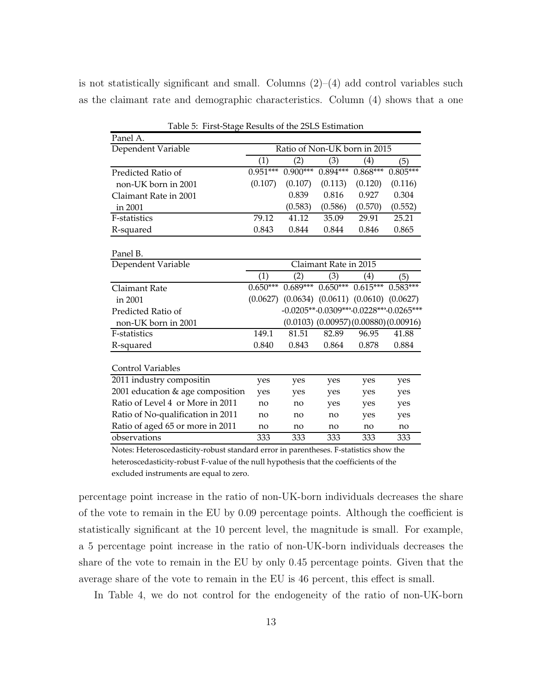is not statistically significant and small. Columns  $(2)$ – $(4)$  add control variables such as the claimant rate and demographic characteristics. Column (4) shows that a one

| Panel A.                          |                              |            |            |                                  |                                                |  |  |
|-----------------------------------|------------------------------|------------|------------|----------------------------------|------------------------------------------------|--|--|
| Dependent Variable                | Ratio of Non-UK born in 2015 |            |            |                                  |                                                |  |  |
|                                   | $\left( 1\right)$            | (2)        | (3)        | $\left( 4\right)$                | (5)                                            |  |  |
| Predicted Ratio of                | $0.951***$                   | $0.900***$ | 0.894***   | $0.868***$                       | $0.805***$                                     |  |  |
| non-UK born in 2001               | (0.107)                      | (0.107)    | (0.113)    | (0.120)                          | (0.116)                                        |  |  |
| Claimant Rate in 2001             |                              | 0.839      | 0.816      | 0.927                            | 0.304                                          |  |  |
| in 2001                           |                              | (0.583)    | (0.586)    | (0.570)                          | (0.552)                                        |  |  |
| F-statistics                      | 79.12                        | 41.12      | 35.09      | 29.91                            | 25.21                                          |  |  |
| R-squared                         | 0.843                        | 0.844      | 0.844      | 0.846                            | 0.865                                          |  |  |
|                                   |                              |            |            |                                  |                                                |  |  |
| Panel B.                          |                              |            |            |                                  |                                                |  |  |
| Dependent Variable                | Claimant Rate in 2015        |            |            |                                  |                                                |  |  |
|                                   | (1)                          | (2)        | (3)        | (4)                              | (5)                                            |  |  |
| Claimant Rate                     | $0.650***$                   | $0.689***$ | $0.650***$ | $0.615***$                       | $0.583***$                                     |  |  |
| in 2001                           | (0.0627)                     | (0.0634)   |            | $(0.0611)$ $(0.0610)$ $(0.0627)$ |                                                |  |  |
| Predicted Ratio of                |                              |            |            |                                  | -0.0205**-0.0309***-0.0228***-0.0265***        |  |  |
| non-UK born in 2001               |                              |            |            |                                  | $(0.0103)$ $(0.00957)$ $(0.00880)$ $(0.00916)$ |  |  |
| F-statistics                      | 149.1                        | 81.51      | 82.89      | 96.95                            | 41.88                                          |  |  |
| R-squared                         | 0.840                        | 0.843      | 0.864      | 0.878                            | 0.884                                          |  |  |
|                                   |                              |            |            |                                  |                                                |  |  |
| <b>Control Variables</b>          |                              |            |            |                                  |                                                |  |  |
| 2011 industry compositin          | yes                          | yes        | yes        | yes                              | yes                                            |  |  |
| 2001 education & age composition  | yes                          | yes        | yes        | yes                              | yes                                            |  |  |
| Ratio of Level 4 or More in 2011  | no                           | no         | yes        | yes                              | yes                                            |  |  |
| Ratio of No-qualification in 2011 | no                           | no         | no         | yes                              | yes                                            |  |  |
| Ratio of aged 65 or more in 2011  | no                           | no         | no         | no                               | no                                             |  |  |
| observations                      | 333                          | 333        | 333        | 333                              | 333                                            |  |  |

Table 5: First‐Stage Results of the 2SLS Estimation

Notes: Heteroscedasticity‐robust standard error in parentheses. F‐statistics show the heteroscedasticity‐robust F‐value of the null hypothesis that the coefficients of the excluded instruments are equal to zero.

percentage point increase in the ratio of non-UK-born individuals decreases the share of the vote to remain in the EU by 0.09 percentage points. Although the coefficient is statistically significant at the 10 percent level, the magnitude is small. For example, a 5 percentage point increase in the ratio of non-UK-born individuals decreases the share of the vote to remain in the EU by only 0.45 percentage points. Given that the average share of the vote to remain in the EU is 46 percent, this effect is small.

In Table 4, we do not control for the endogeneity of the ratio of non-UK-born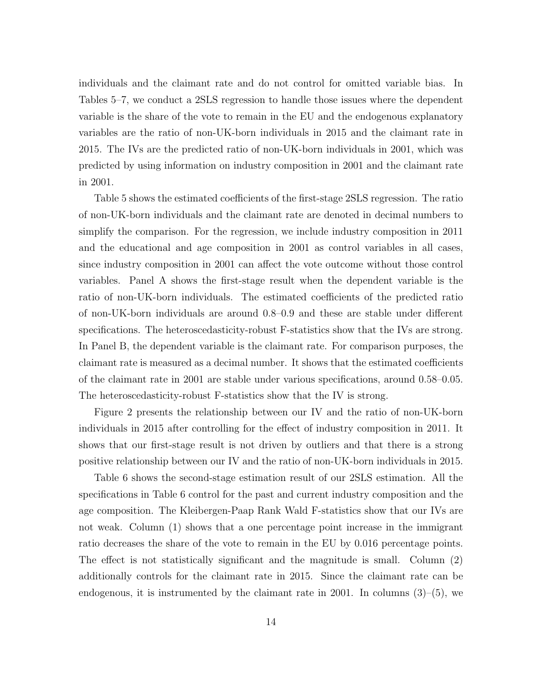individuals and the claimant rate and do not control for omitted variable bias. In Tables 5–7, we conduct a 2SLS regression to handle those issues where the dependent variable is the share of the vote to remain in the EU and the endogenous explanatory variables are the ratio of non-UK-born individuals in 2015 and the claimant rate in 2015. The IVs are the predicted ratio of non-UK-born individuals in 2001, which was predicted by using information on industry composition in 2001 and the claimant rate in 2001.

Table 5 shows the estimated coefficients of the first-stage 2SLS regression. The ratio of non-UK-born individuals and the claimant rate are denoted in decimal numbers to simplify the comparison. For the regression, we include industry composition in 2011 and the educational and age composition in 2001 as control variables in all cases, since industry composition in 2001 can affect the vote outcome without those control variables. Panel A shows the first-stage result when the dependent variable is the ratio of non-UK-born individuals. The estimated coefficients of the predicted ratio of non-UK-born individuals are around 0.8–0.9 and these are stable under different specifications. The heteroscedasticity-robust F-statistics show that the IVs are strong. In Panel B, the dependent variable is the claimant rate. For comparison purposes, the claimant rate is measured as a decimal number. It shows that the estimated coefficients of the claimant rate in 2001 are stable under various specifications, around 0.58–0.05. The heteroscedasticity-robust F-statistics show that the IV is strong.

Figure 2 presents the relationship between our IV and the ratio of non-UK-born individuals in 2015 after controlling for the effect of industry composition in 2011. It shows that our first-stage result is not driven by outliers and that there is a strong positive relationship between our IV and the ratio of non-UK-born individuals in 2015.

Table 6 shows the second-stage estimation result of our 2SLS estimation. All the specifications in Table 6 control for the past and current industry composition and the age composition. The Kleibergen-Paap Rank Wald F-statistics show that our IVs are not weak. Column (1) shows that a one percentage point increase in the immigrant ratio decreases the share of the vote to remain in the EU by 0.016 percentage points. The effect is not statistically significant and the magnitude is small. Column (2) additionally controls for the claimant rate in 2015. Since the claimant rate can be endogenous, it is instrumented by the claimant rate in 2001. In columns  $(3)$ – $(5)$ , we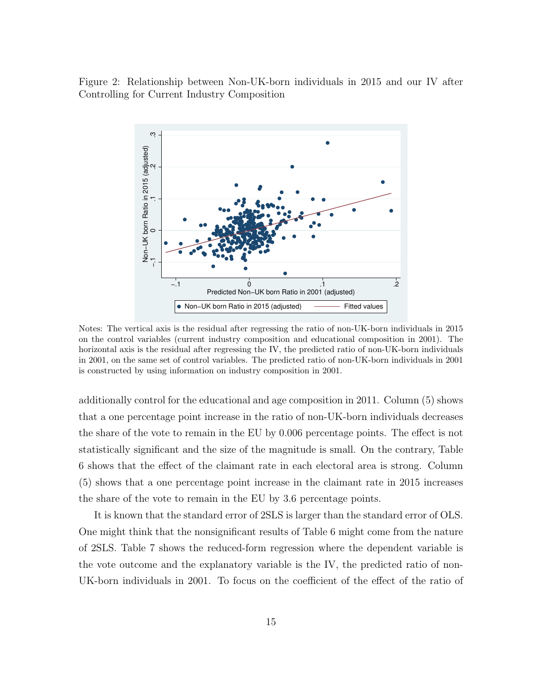Figure 2: Relationship between Non-UK-born individuals in 2015 and our IV after Controlling for Current Industry Composition



Notes: The vertical axis is the residual after regressing the ratio of non-UK-born individuals in 2015 on the control variables (current industry composition and educational composition in 2001). The horizontal axis is the residual after regressing the IV, the predicted ratio of non-UK-born individuals in 2001, on the same set of control variables. The predicted ratio of non-UK-born individuals in 2001 is constructed by using information on industry composition in 2001.

additionally control for the educational and age composition in 2011. Column (5) shows that a one percentage point increase in the ratio of non-UK-born individuals decreases the share of the vote to remain in the EU by 0.006 percentage points. The effect is not statistically significant and the size of the magnitude is small. On the contrary, Table 6 shows that the effect of the claimant rate in each electoral area is strong. Column (5) shows that a one percentage point increase in the claimant rate in 2015 increases the share of the vote to remain in the EU by 3.6 percentage points.

It is known that the standard error of 2SLS is larger than the standard error of OLS. One might think that the nonsignificant results of Table 6 might come from the nature of 2SLS. Table 7 shows the reduced-form regression where the dependent variable is the vote outcome and the explanatory variable is the IV, the predicted ratio of non-UK-born individuals in 2001. To focus on the coefficient of the effect of the ratio of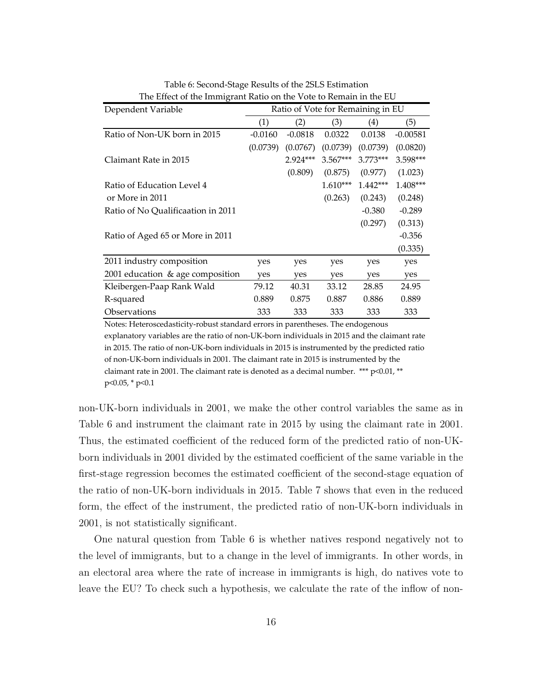| Dependent Variable                 | Ratio of Vote for Remaining in EU |           |            |            |            |  |
|------------------------------------|-----------------------------------|-----------|------------|------------|------------|--|
|                                    | (1)                               | (2)       | (3)        | (4)        | (5)        |  |
| Ratio of Non-UK born in 2015       | $-0.0160$                         | $-0.0818$ | 0.0322     | 0.0138     | $-0.00581$ |  |
|                                    | (0.0739)                          | (0.0767)  | (0.0739)   | (0.0739)   | (0.0820)   |  |
| Claimant Rate in 2015              |                                   | 2.924***  | $3.567***$ | $3.773***$ | 3.598***   |  |
|                                    |                                   | (0.809)   | (0.875)    | (0.977)    | (1.023)    |  |
| Ratio of Education Level 4         |                                   |           | $1.610***$ | $1.442***$ | 1.408***   |  |
| or More in 2011                    |                                   |           | (0.263)    | (0.243)    | (0.248)    |  |
| Ratio of No Qualificaation in 2011 |                                   |           |            | $-0.380$   | $-0.289$   |  |
|                                    |                                   |           |            | (0.297)    | (0.313)    |  |
| Ratio of Aged 65 or More in 2011   |                                   |           |            |            | $-0.356$   |  |
|                                    |                                   |           |            |            | (0.335)    |  |
| 2011 industry composition          | yes                               | yes       | yes        | yes        | yes        |  |
| 2001 education & age composition   | yes                               | yes       | yes        | yes        | yes        |  |
| Kleibergen-Paap Rank Wald          | 79.12                             | 40.31     | 33.12      | 28.85      | 24.95      |  |
| R-squared                          | 0.889                             | 0.875     | 0.887      | 0.886      | 0.889      |  |
| Observations                       | 333                               | 333       | 333        | 333        | 333        |  |

Table 6: Second‐Stage Results of the 2SLS Estimation The Effect of the Immigrant Ratio on the Vote to Remain in the EU

Notes: Heteroscedasticity‐robust standard errors in parentheses. The endogenous explanatory variables are the ratio of non‐UK‐born individuals in 2015 and the claimant rate in 2015. The ratio of non‐UK‐born individuals in 2015 is instrumented by the predicted ratio of non‐UK‐born individuals in 2001. The claimant rate in 2015 is instrumented by the claimant rate in 2001. The claimant rate is denoted as a decimal number. \*\*\* p<0.01, \*\* p<0.05, \* p<0.1

non-UK-born individuals in 2001, we make the other control variables the same as in Table 6 and instrument the claimant rate in 2015 by using the claimant rate in 2001. Thus, the estimated coefficient of the reduced form of the predicted ratio of non-UKborn individuals in 2001 divided by the estimated coefficient of the same variable in the first-stage regression becomes the estimated coefficient of the second-stage equation of the ratio of non-UK-born individuals in 2015. Table 7 shows that even in the reduced form, the effect of the instrument, the predicted ratio of non-UK-born individuals in 2001, is not statistically significant.

One natural question from Table 6 is whether natives respond negatively not to the level of immigrants, but to a change in the level of immigrants. In other words, in an electoral area where the rate of increase in immigrants is high, do natives vote to leave the EU? To check such a hypothesis, we calculate the rate of the inflow of non-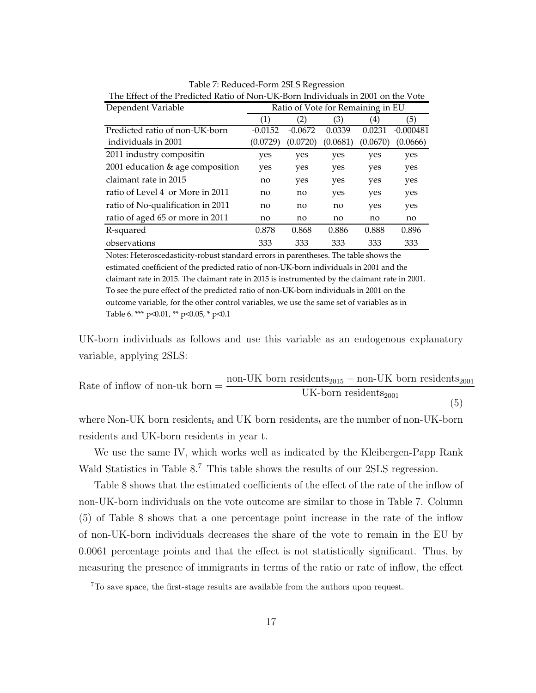| Dependent Variable                | Ratio of Vote for Remaining in EU |           |          |          |             |  |
|-----------------------------------|-----------------------------------|-----------|----------|----------|-------------|--|
|                                   | (1)                               | 2)        | (3)      | 4)       | (5)         |  |
| Predicted ratio of non-UK-born    | $-0.0152$                         | $-0.0672$ | 0.0339   | 0.0231   | $-0.000481$ |  |
| individuals in 2001               | (0.0729)                          | (0.0720)  | (0.0681) | (0.0670) | (0.0666)    |  |
| 2011 industry compositin          | yes                               | yes       | yes      | yes      | yes         |  |
| 2001 education & age composition  | yes                               | yes       | yes      | yes      | yes         |  |
| claimant rate in 2015             | no                                | yes       | yes      | yes      | yes         |  |
| ratio of Level 4 or More in 2011  | no                                | no        | yes      | yes      | yes         |  |
| ratio of No-qualification in 2011 | no                                | no        | no       | yes      | yes         |  |
| ratio of aged 65 or more in 2011  | no                                | no        | no       | no       | no          |  |
| R-squared                         | 0.878                             | 0.868     | 0.886    | 0.888    | 0.896       |  |
| observations                      | 333                               | 333       | 333      | 333      | 333         |  |

Table 7: Reduced‐Form 2SLS Regression The Effect of the Predicted Ratio of Non‐UK‐Born Individuals in 2001 on the Vote

Notes: Heteroscedasticity‐robust standard errors in parentheses. The table shows the estimated coefficient of the predicted ratio of non‐UK‐born individuals in 2001 and the claimant rate in 2015. The claimant rate in 2015 is instrumented by the claimant rate in 2001. To see the pure effect of the predicted ratio of non‐UK‐born individuals in 2001 on the outcome variable, for the other control variables, we use the same set of variables as in Table 6. \*\*\* p<0.01, \*\* p<0.05, \* p<0.1

UK-born individuals as follows and use this variable as an endogenous explanatory variable, applying 2SLS:

Rate of inflow of non-uk born = 
$$
\frac{\text{non-UK born residents}_{2015} - \text{non-UK born residents}_{2001}}{\text{UK-born residents}_{2001}}
$$
(5)

where Non-UK born residents<sub>t</sub> and UK born residents<sub>t</sub> are the number of non-UK-born residents and UK-born residents in year t.

We use the same IV, which works well as indicated by the Kleibergen-Papp Rank Wald Statistics in Table 8.<sup>7</sup> This table shows the results of our 2SLS regression.

Table 8 shows that the estimated coefficients of the effect of the rate of the inflow of non-UK-born individuals on the vote outcome are similar to those in Table 7. Column (5) of Table 8 shows that a one percentage point increase in the rate of the inflow of non-UK-born individuals decreases the share of the vote to remain in the EU by 0.0061 percentage points and that the effect is not statistically significant. Thus, by measuring the presence of immigrants in terms of the ratio or rate of inflow, the effect

<sup>7</sup>To save space, the first-stage results are available from the authors upon request.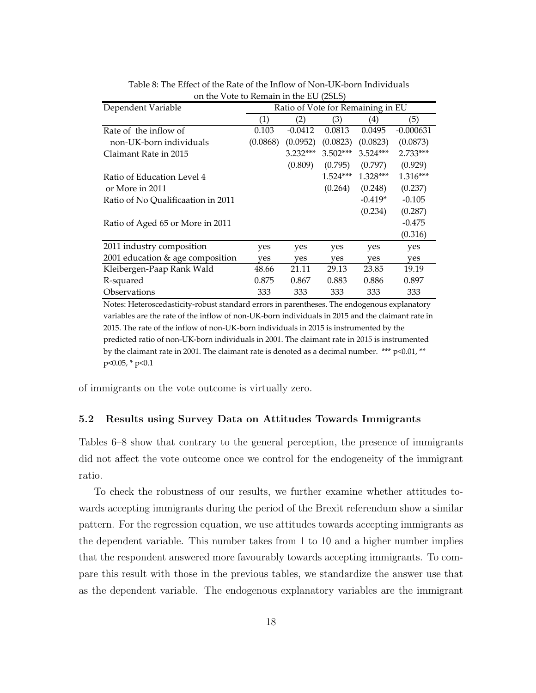| Dependent Variable                 | Ratio of Vote for Remaining in EU |            |            |            |             |  |
|------------------------------------|-----------------------------------|------------|------------|------------|-------------|--|
|                                    | (1)                               | (2)        | (3)        | 4)         | (5)         |  |
| Rate of the inflow of              | 0.103                             | $-0.0412$  | 0.0813     | 0.0495     | $-0.000631$ |  |
| non-UK-born individuals            | (0.0868)                          | (0.0952)   | (0.0823)   | (0.0823)   | (0.0873)    |  |
| Claimant Rate in 2015              |                                   | $3.232***$ | $3.502***$ | $3.524***$ | 2.733***    |  |
|                                    |                                   | (0.809)    | (0.795)    | (0.797)    | (0.929)     |  |
| Ratio of Education Level 4         |                                   |            | $1.524***$ | $1.328***$ | $1.316***$  |  |
| or More in 2011                    |                                   |            | (0.264)    | (0.248)    | (0.237)     |  |
| Ratio of No Qualificaation in 2011 |                                   |            |            | $-0.419*$  | $-0.105$    |  |
|                                    |                                   |            |            | (0.234)    | (0.287)     |  |
| Ratio of Aged 65 or More in 2011   |                                   |            |            |            | $-0.475$    |  |
|                                    |                                   |            |            |            | (0.316)     |  |
| 2011 industry composition          | yes                               | yes        | yes        | yes        | yes         |  |
| 2001 education & age composition   | yes                               | yes        | yes        | yes        | yes         |  |
| Kleibergen-Paap Rank Wald          | 48.66                             | 21.11      | 29.13      | 23.85      | 19.19       |  |
| R-squared                          | 0.875                             | 0.867      | 0.883      | 0.886      | 0.897       |  |
| <i><b>Observations</b></i>         | 333                               | 333        | 333        | 333        | 333         |  |

Table 8: The Effect of the Rate of the Inflow of Non‐UK‐born Individuals on the Vote to Remain in the EU (2SLS)

Notes: Heteroscedasticity‐robust standard errors in parentheses. The endogenous explanatory variables are the rate of the inflow of non‐UK‐born individuals in 2015 and the claimant rate in 2015. The rate of the inflow of non‐UK‐born individuals in 2015 is instrumented by the predicted ratio of non‐UK‐born individuals in 2001. The claimant rate in 2015 is instrumented by the claimant rate in 2001. The claimant rate is denoted as a decimal number.  $***$   $p<0.01$ ,  $**$ p<0.05, \* p<0.1

of immigrants on the vote outcome is virtually zero.

## 5.2 Results using Survey Data on Attitudes Towards Immigrants

Tables 6–8 show that contrary to the general perception, the presence of immigrants did not affect the vote outcome once we control for the endogeneity of the immigrant ratio.

To check the robustness of our results, we further examine whether attitudes towards accepting immigrants during the period of the Brexit referendum show a similar pattern. For the regression equation, we use attitudes towards accepting immigrants as the dependent variable. This number takes from 1 to 10 and a higher number implies that the respondent answered more favourably towards accepting immigrants. To compare this result with those in the previous tables, we standardize the answer use that as the dependent variable. The endogenous explanatory variables are the immigrant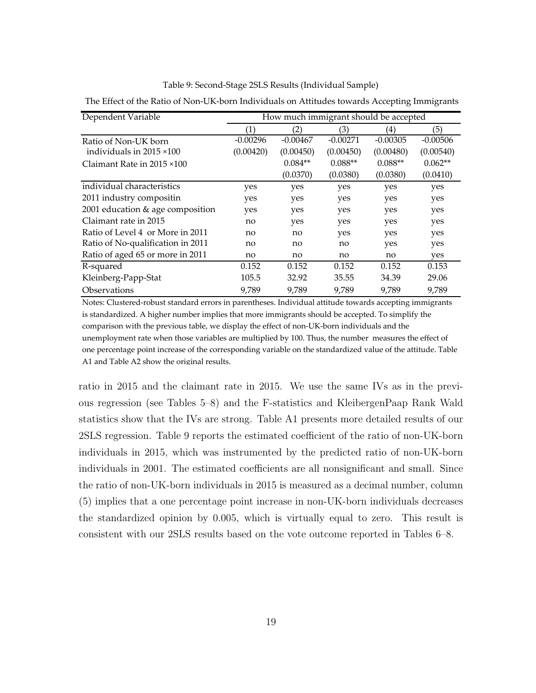| Dependent Variable                | How much immigrant should be accepted |            |            |            |            |  |  |  |
|-----------------------------------|---------------------------------------|------------|------------|------------|------------|--|--|--|
|                                   | $\left(1\right)$                      | (2)        | (3)        | (4)        | (5)        |  |  |  |
| Ratio of Non-UK born              | $-0.00296$                            | $-0.00467$ | $-0.00271$ | $-0.00305$ | $-0.00506$ |  |  |  |
| individuals in $2015 \times 100$  | (0.00420)                             | (0.00450)  | (0.00450)  | (0.00480)  | (0.00540)  |  |  |  |
| Claimant Rate in 2015 ×100        |                                       | $0.084**$  | $0.088**$  | $0.088**$  | $0.062**$  |  |  |  |
|                                   |                                       | (0.0370)   | (0.0380)   | (0.0380)   | (0.0410)   |  |  |  |
| individual characteristics        | yes                                   | yes        | yes        | yes        | yes        |  |  |  |
| 2011 industry compositin          | yes                                   | yes        | yes        | yes        | yes        |  |  |  |
| 2001 education & age composition  | yes                                   | yes        | yes        | yes        | yes        |  |  |  |
| Claimant rate in 2015             | no                                    | yes        | yes        | yes        | yes        |  |  |  |
| Ratio of Level 4 or More in 2011  | no                                    | no         | yes        | yes        | yes        |  |  |  |
| Ratio of No-qualification in 2011 | no                                    | no         | no         | yes        | yes        |  |  |  |
| Ratio of aged 65 or more in 2011  | no                                    | no         | no         | no         | yes        |  |  |  |
| R-squared                         | 0.152                                 | 0.152      | 0.152      | 0.152      | 0.153      |  |  |  |
| Kleinberg-Papp-Stat               | 105.5                                 | 32.92      | 35.55      | 34.39      | 29.06      |  |  |  |
| <i><b>Observations</b></i>        | 9.789                                 | 9,789      | 9,789      | 9.789      | 9.789      |  |  |  |

Table 9: Second‐Stage 2SLS Results (Individual Sample)

The Effect of the Ratio of Non‐UK‐born Individuals on Attitudes towards Accepting Immigrants

Notes: Clustered‐robust standard errors in parentheses. Individual attitude towards accepting immigrants is standardized. A higher number implies that more immigrants should be accepted. To simplify the comparison with the previous table, we display the effect of non-UK-born individuals and the unemployment rate when those variables are multiplied by 100. Thus, the number measures the effect of one percentage point increase of the corresponding variable on the standardized value of the attitude. Table A1 and Table A2 show the original results.

ratio in 2015 and the claimant rate in 2015. We use the same IVs as in the previous regression (see Tables 5–8) and the F-statistics and KleibergenPaap Rank Wald statistics show that the IVs are strong. Table A1 presents more detailed results of our 2SLS regression. Table 9 reports the estimated coefficient of the ratio of non-UK-born individuals in 2015, which was instrumented by the predicted ratio of non-UK-born individuals in 2001. The estimated coefficients are all nonsignificant and small. Since the ratio of non-UK-born individuals in 2015 is measured as a decimal number, column (5) implies that a one percentage point increase in non-UK-born individuals decreases the standardized opinion by 0.005, which is virtually equal to zero. This result is consistent with our 2SLS results based on the vote outcome reported in Tables 6–8.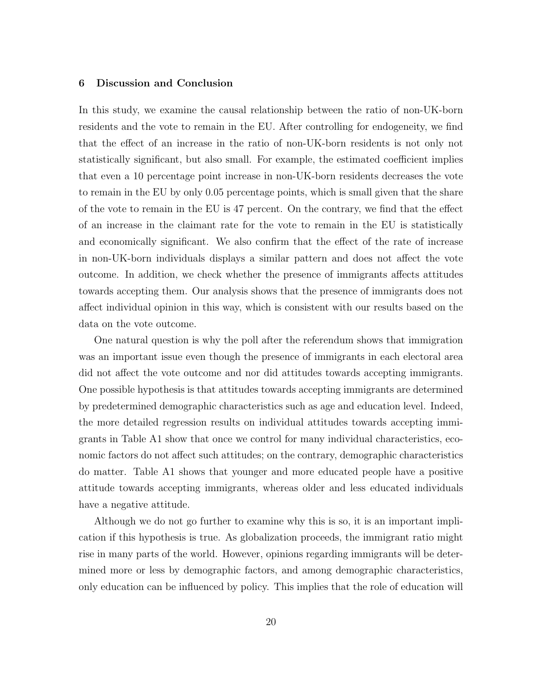#### 6 Discussion and Conclusion

In this study, we examine the causal relationship between the ratio of non-UK-born residents and the vote to remain in the EU. After controlling for endogeneity, we find that the effect of an increase in the ratio of non-UK-born residents is not only not statistically significant, but also small. For example, the estimated coefficient implies that even a 10 percentage point increase in non-UK-born residents decreases the vote to remain in the EU by only 0.05 percentage points, which is small given that the share of the vote to remain in the EU is 47 percent. On the contrary, we find that the effect of an increase in the claimant rate for the vote to remain in the EU is statistically and economically significant. We also confirm that the effect of the rate of increase in non-UK-born individuals displays a similar pattern and does not affect the vote outcome. In addition, we check whether the presence of immigrants affects attitudes towards accepting them. Our analysis shows that the presence of immigrants does not affect individual opinion in this way, which is consistent with our results based on the data on the vote outcome.

One natural question is why the poll after the referendum shows that immigration was an important issue even though the presence of immigrants in each electoral area did not affect the vote outcome and nor did attitudes towards accepting immigrants. One possible hypothesis is that attitudes towards accepting immigrants are determined by predetermined demographic characteristics such as age and education level. Indeed, the more detailed regression results on individual attitudes towards accepting immigrants in Table A1 show that once we control for many individual characteristics, economic factors do not affect such attitudes; on the contrary, demographic characteristics do matter. Table A1 shows that younger and more educated people have a positive attitude towards accepting immigrants, whereas older and less educated individuals have a negative attitude.

Although we do not go further to examine why this is so, it is an important implication if this hypothesis is true. As globalization proceeds, the immigrant ratio might rise in many parts of the world. However, opinions regarding immigrants will be determined more or less by demographic factors, and among demographic characteristics, only education can be influenced by policy. This implies that the role of education will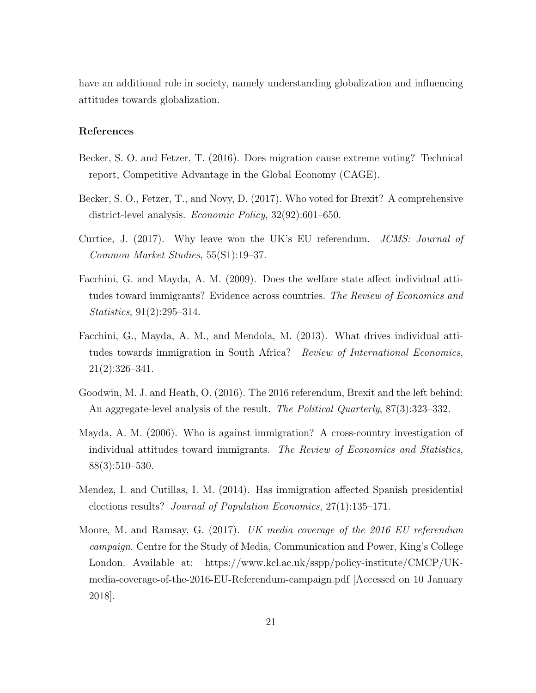have an additional role in society, namely understanding globalization and influencing attitudes towards globalization.

#### References

- Becker, S. O. and Fetzer, T. (2016). Does migration cause extreme voting? Technical report, Competitive Advantage in the Global Economy (CAGE).
- Becker, S. O., Fetzer, T., and Novy, D. (2017). Who voted for Brexit? A comprehensive district-level analysis. Economic Policy, 32(92):601–650.
- Curtice, J. (2017). Why leave won the UK's EU referendum. JCMS: Journal of Common Market Studies, 55(S1):19–37.
- Facchini, G. and Mayda, A. M. (2009). Does the welfare state affect individual attitudes toward immigrants? Evidence across countries. The Review of Economics and Statistics, 91(2):295–314.
- Facchini, G., Mayda, A. M., and Mendola, M. (2013). What drives individual attitudes towards immigration in South Africa? Review of International Economics, 21(2):326–341.
- Goodwin, M. J. and Heath, O. (2016). The 2016 referendum, Brexit and the left behind: An aggregate-level analysis of the result. The Political Quarterly, 87(3):323–332.
- Mayda, A. M. (2006). Who is against immigration? A cross-country investigation of individual attitudes toward immigrants. The Review of Economics and Statistics, 88(3):510–530.
- Mendez, I. and Cutillas, I. M. (2014). Has immigration affected Spanish presidential elections results? Journal of Population Economics, 27(1):135–171.
- Moore, M. and Ramsay, G. (2017). UK media coverage of the 2016 EU referendum campaign. Centre for the Study of Media, Communication and Power, King's College London. Available at: https://www.kcl.ac.uk/sspp/policy-institute/CMCP/UKmedia-coverage-of-the-2016-EU-Referendum-campaign.pdf [Accessed on 10 January 2018].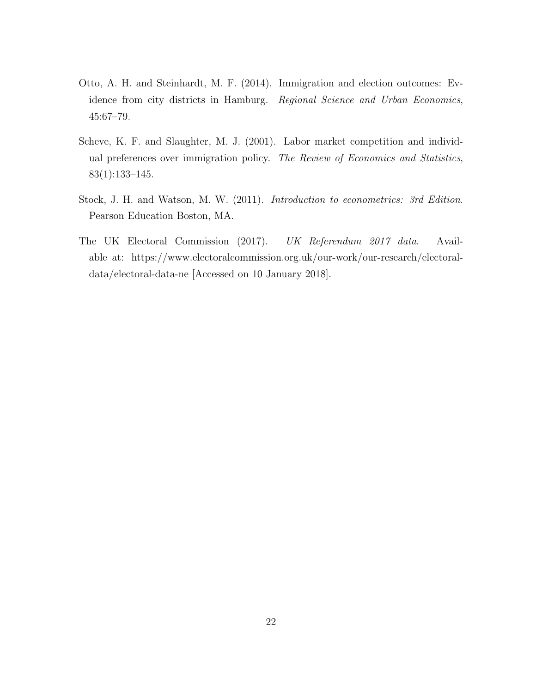- Otto, A. H. and Steinhardt, M. F. (2014). Immigration and election outcomes: Evidence from city districts in Hamburg. Regional Science and Urban Economics, 45:67–79.
- Scheve, K. F. and Slaughter, M. J. (2001). Labor market competition and individual preferences over immigration policy. The Review of Economics and Statistics, 83(1):133–145.
- Stock, J. H. and Watson, M. W. (2011). Introduction to econometrics: 3rd Edition. Pearson Education Boston, MA.
- The UK Electoral Commission (2017). UK Referendum 2017 data. Available at: https://www.electoralcommission.org.uk/our-work/our-research/electoraldata/electoral-data-ne [Accessed on 10 January 2018].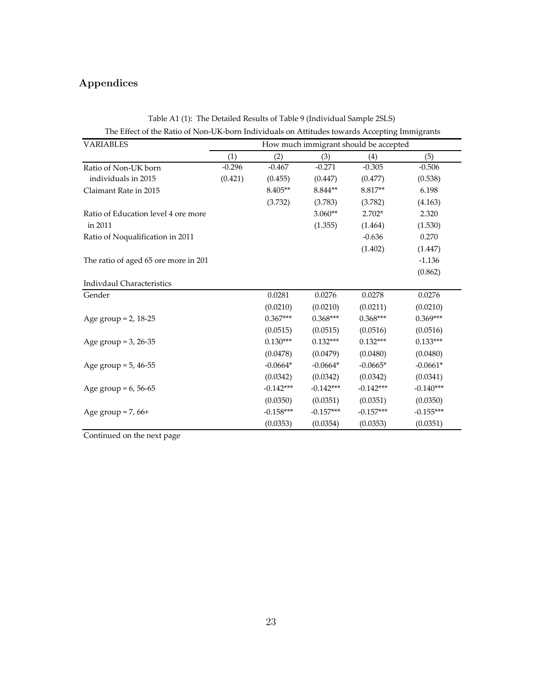# Appendices

| <b>VARIABLES</b>                     | How much immigrant should be accepted |             |             |             |             |  |  |
|--------------------------------------|---------------------------------------|-------------|-------------|-------------|-------------|--|--|
|                                      | (1)                                   | (2)         | (3)         | (4)         | (5)         |  |  |
| Ratio of Non-UK born                 | $-0.296$                              | $-0.467$    | $-0.271$    | $-0.305$    | $-0.506$    |  |  |
| individuals in 2015                  | (0.421)                               | (0.455)     | (0.447)     | (0.477)     | (0.538)     |  |  |
| Claimant Rate in 2015                |                                       | 8.405**     | 8.844**     | 8.817**     | 6.198       |  |  |
|                                      |                                       | (3.732)     | (3.783)     | (3.782)     | (4.163)     |  |  |
| Ratio of Education level 4 ore more  |                                       |             | $3.060**$   | $2.702*$    | 2.320       |  |  |
| in 2011                              |                                       |             | (1.355)     | (1.464)     | (1.530)     |  |  |
| Ratio of Noqualification in 2011     |                                       |             |             | $-0.636$    | 0.270       |  |  |
|                                      |                                       |             |             | (1.402)     | (1.447)     |  |  |
| The ratio of aged 65 ore more in 201 |                                       |             |             |             | $-1.136$    |  |  |
|                                      |                                       |             |             |             | (0.862)     |  |  |
| Indivdaul Characteristics            |                                       |             |             |             |             |  |  |
| Gender                               |                                       | 0.0281      | 0.0276      | 0.0278      | 0.0276      |  |  |
|                                      |                                       | (0.0210)    | (0.0210)    | (0.0211)    | (0.0210)    |  |  |
| Age group = $2, 18-25$               |                                       | $0.367***$  | $0.368***$  | $0.368***$  | $0.369***$  |  |  |
|                                      |                                       | (0.0515)    | (0.0515)    | (0.0516)    | (0.0516)    |  |  |
| Age group = $3, 26-35$               |                                       | $0.130***$  | $0.132***$  | $0.132***$  | $0.133***$  |  |  |
|                                      |                                       | (0.0478)    | (0.0479)    | (0.0480)    | (0.0480)    |  |  |
| Age group = $5, 46-55$               |                                       | $-0.0664*$  | $-0.0664*$  | $-0.0665*$  | $-0.0661*$  |  |  |
|                                      |                                       | (0.0342)    | (0.0342)    | (0.0342)    | (0.0341)    |  |  |
| Age group = $6, 56-65$               |                                       | $-0.142***$ | $-0.142***$ | $-0.142***$ | $-0.140***$ |  |  |
|                                      |                                       | (0.0350)    | (0.0351)    | (0.0351)    | (0.0350)    |  |  |
| Age group = $7,66+$                  |                                       | $-0.158***$ | $-0.157***$ | $-0.157***$ | $-0.155***$ |  |  |
|                                      |                                       | (0.0353)    | (0.0354)    | (0.0353)    | (0.0351)    |  |  |

Table A1 (1): The Detailed Results of Table 9 (Individual Sample 2SLS) The Effect of the Ratio of Non‐UK‐born Individuals on Attitudes towards Accepting Immigrants

Continued on the next page